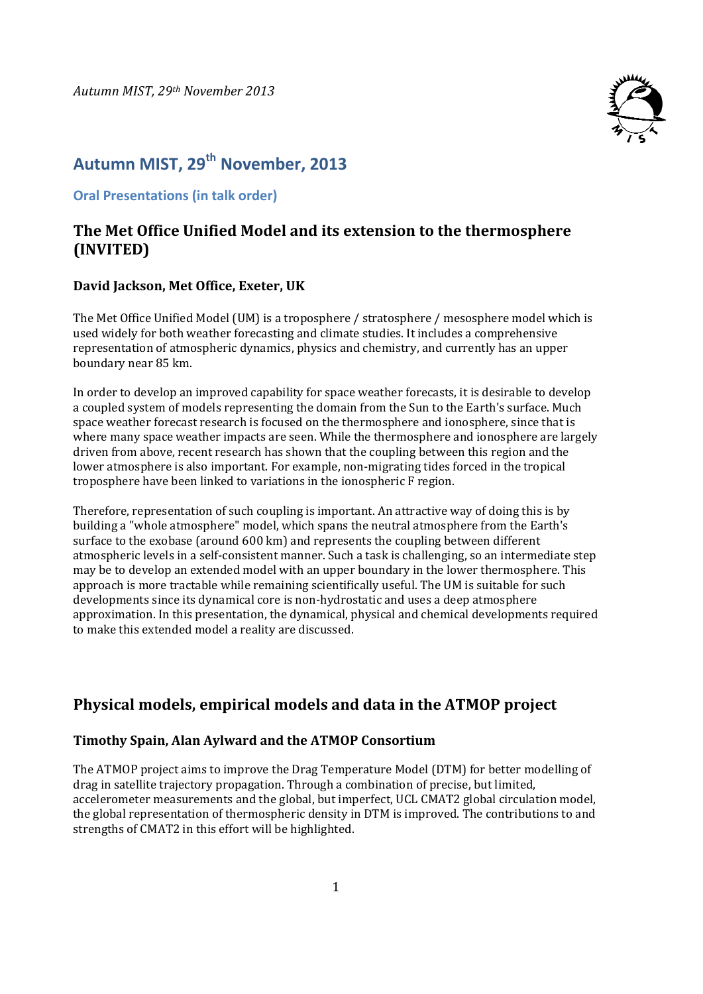

# **Autumn MIST, 29th November, 2013**

**Oral Presentations (in talk order)**

### **The Met Office Unified Model and its extension to the thermosphere (INVITED)**

#### **David Jackson, Met Office, Exeter, UK**

The Met Office Unified Model (UM) is a troposphere / stratosphere / mesosphere model which is used widely for both weather forecasting and climate studies. It includes a comprehensive representation of atmospheric dynamics, physics and chemistry, and currently has an upper boundary near 85 km.

In order to develop an improved capability for space weather forecasts, it is desirable to develop a coupled system of models representing the domain from the Sun to the Earth's surface. Much space weather forecast research is focused on the thermosphere and ionosphere, since that is where many space weather impacts are seen. While the thermosphere and ionosphere are largely driven from above, recent research has shown that the coupling between this region and the lower atmosphere is also important. For example, non-migrating tides forced in the tropical troposphere have been linked to variations in the ionospheric F region.

Therefore, representation of such coupling is important. An attractive way of doing this is by building a "whole atmosphere" model, which spans the neutral atmosphere from the Earth's surface to the exobase (around 600 km) and represents the coupling between different atmospheric levels in a self-consistent manner. Such a task is challenging, so an intermediate step may be to develop an extended model with an upper boundary in the lower thermosphere. This approach is more tractable while remaining scientifically useful. The UM is suitable for such developments since its dynamical core is non-hydrostatic and uses a deep atmosphere approximation. In this presentation, the dynamical, physical and chemical developments required to make this extended model a reality are discussed.

### **Physical models, empirical models and data in the ATMOP project**

#### **Timothy Spain, Alan Aylward and the ATMOP Consortium**

The ATMOP project aims to improve the Drag Temperature Model (DTM) for better modelling of drag in satellite trajectory propagation. Through a combination of precise, but limited, accelerometer measurements and the global, but imperfect, UCL CMAT2 global circulation model, the global representation of thermospheric density in DTM is improved. The contributions to and strengths of CMAT2 in this effort will be highlighted.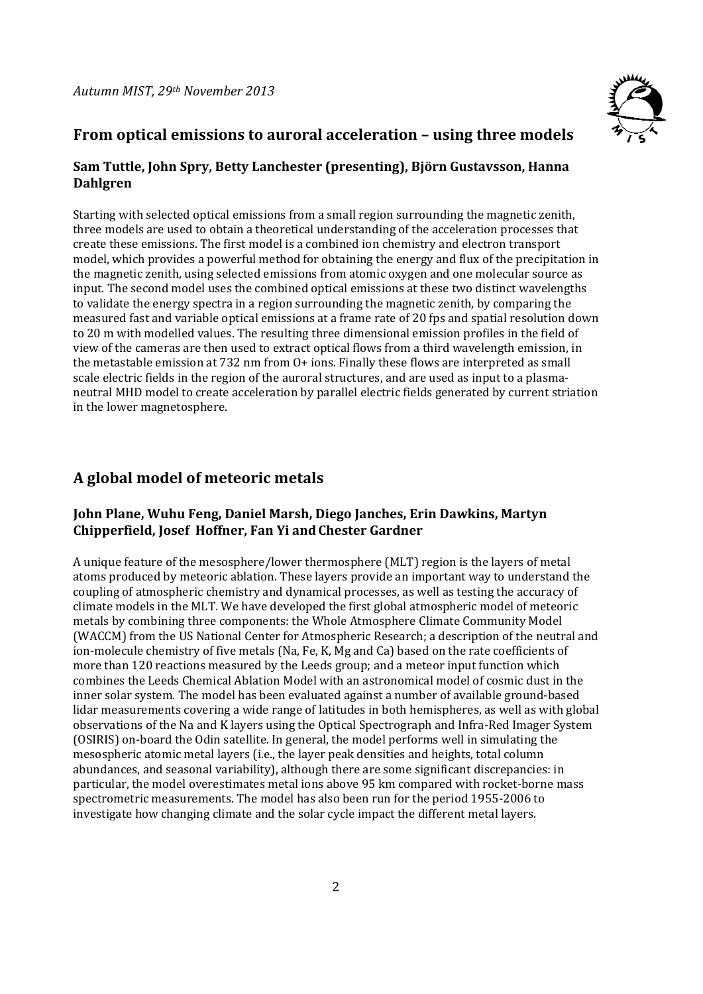

# **From optical emissions to auroral acceleration – using three models**

#### **Sam Tuttle, John Spry, Betty Lanchester (presenting), Björn Gustavsson, Hanna Dahlgren**

Starting with selected optical emissions from a small region surrounding the magnetic zenith. three models are used to obtain a theoretical understanding of the acceleration processes that create these emissions. The first model is a combined ion chemistry and electron transport model, which provides a powerful method for obtaining the energy and flux of the precipitation in the magnetic zenith, using selected emissions from atomic oxygen and one molecular source as input. The second model uses the combined optical emissions at these two distinct wavelengths to validate the energy spectra in a region surrounding the magnetic zenith, by comparing the measured fast and variable optical emissions at a frame rate of 20 fps and spatial resolution down to 20 m with modelled values. The resulting three dimensional emission profiles in the field of view of the cameras are then used to extract optical flows from a third wavelength emission, in the metastable emission at  $732$  nm from  $O+$  ions. Finally these flows are interpreted as small scale electric fields in the region of the auroral structures, and are used as input to a plasmaneutral MHD model to create acceleration by parallel electric fields generated by current striation in the lower magnetosphere.

# **A global model of meteoric metals**

#### **John Plane, Wuhu Feng, Daniel Marsh, Diego Janches, Erin Dawkins, Martyn Chipperfield, Josef Hoffner, Fan Yi andChester Gardner**

A unique feature of the mesosphere/lower thermosphere (MLT) region is the layers of metal atoms produced by meteoric ablation. These layers provide an important way to understand the coupling of atmospheric chemistry and dynamical processes, as well as testing the accuracy of climate models in the MLT. We have developed the first global atmospheric model of meteoric metals by combining three components: the Whole Atmosphere Climate Community Model (WACCM) from the US National Center for Atmospheric Research; a description of the neutral and ion-molecule chemistry of five metals (Na, Fe, K, Mg and Ca) based on the rate coefficients of more than 120 reactions measured by the Leeds group; and a meteor input function which combines the Leeds Chemical Ablation Model with an astronomical model of cosmic dust in the inner solar system. The model has been evaluated against a number of available ground-based lidar measurements covering a wide range of latitudes in both hemispheres, as well as with global observations of the Na and K layers using the Optical Spectrograph and Infra-Red Imager System (OSIRIS) on-board the Odin satellite. In general, the model performs well in simulating the mesospheric atomic metal layers (i.e., the layer peak densities and heights, total column abundances, and seasonal variability), although there are some significant discrepancies: in particular, the model overestimates metal ions above 95 km compared with rocket-borne mass spectrometric measurements. The model has also been run for the period 1955-2006 to investigate how changing climate and the solar cycle impact the different metal layers.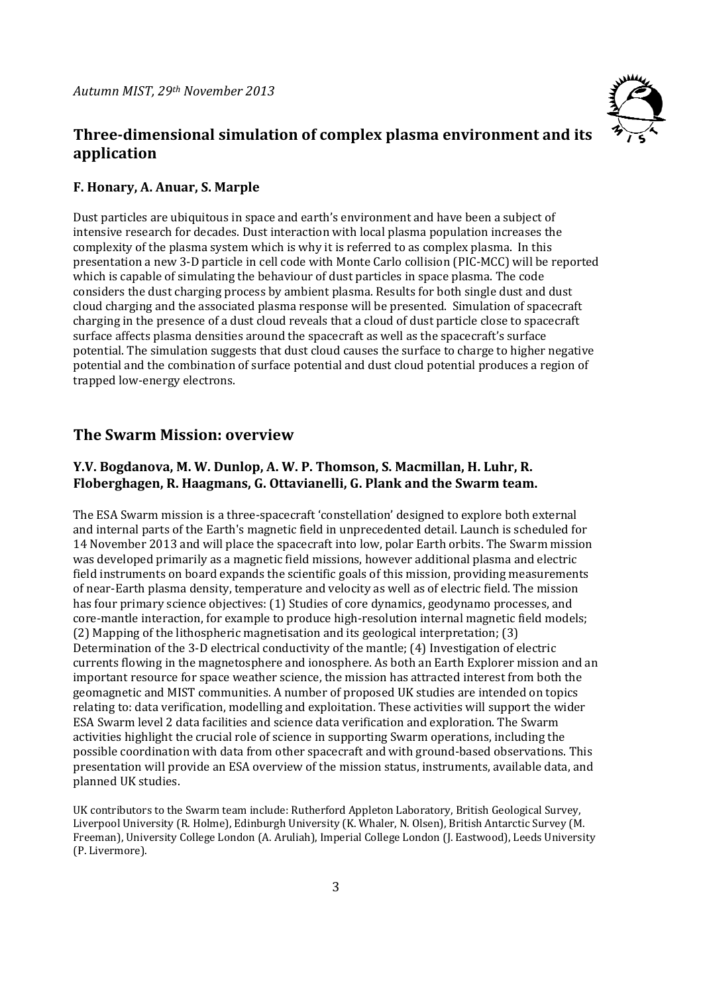# **Three‐dimensional simulation of complex plasma environment and its application**

#### **F. Honary, A. Anuar, S. Marple**

Dust particles are ubiquitous in space and earth's environment and have been a subject of intensive research for decades. Dust interaction with local plasma population increases the complexity of the plasma system which is why it is referred to as complex plasma. In this presentation a new 3-D particle in cell code with Monte Carlo collision (PIC-MCC) will be reported which is capable of simulating the behaviour of dust particles in space plasma. The code considers the dust charging process by ambient plasma. Results for both single dust and dust cloud charging and the associated plasma response will be presented. Simulation of spacecraft charging in the presence of a dust cloud reveals that a cloud of dust particle close to spacecraft surface affects plasma densities around the spacecraft as well as the spacecraft's surface potential. The simulation suggests that dust cloud causes the surface to charge to higher negative potential and the combination of surface potential and dust cloud potential produces a region of trapped low-energy electrons.

### **The Swarm Mission: overview**

#### **Y.V. Bogdanova, M. W. Dunlop, A. W. P. Thomson, S. Macmillan, H. Luhr, R. Floberghagen, R. Haagmans, G. Ottavianelli, G. Plank and the Swarm team.**

The ESA Swarm mission is a three-spacecraft 'constellation' designed to explore both external and internal parts of the Earth's magnetic field in unprecedented detail. Launch is scheduled for 14 November 2013 and will place the spacecraft into low, polar Earth orbits. The Swarm mission was developed primarily as a magnetic field missions, however additional plasma and electric field instruments on board expands the scientific goals of this mission, providing measurements of near-Earth plasma density, temperature and velocity as well as of electric field. The mission has four primary science objectives: (1) Studies of core dynamics, geodynamo processes, and core-mantle interaction, for example to produce high-resolution internal magnetic field models;  $(2)$  Mapping of the lithospheric magnetisation and its geological interpretation;  $(3)$ Determination of the 3-D electrical conductivity of the mantle; (4) Investigation of electric currents flowing in the magnetosphere and ionosphere. As both an Earth Explorer mission and an important resource for space weather science, the mission has attracted interest from both the geomagnetic and MIST communities. A number of proposed UK studies are intended on topics relating to: data verification, modelling and exploitation. These activities will support the wider ESA Swarm level 2 data facilities and science data verification and exploration. The Swarm activities highlight the crucial role of science in supporting Swarm operations, including the possible coordination with data from other spacecraft and with ground-based observations. This presentation will provide an ESA overview of the mission status, instruments, available data, and planned UK studies.

UK contributors to the Swarm team include: Rutherford Appleton Laboratory, British Geological Survey, Liverpool University (R. Holme), Edinburgh University (K. Whaler, N. Olsen), British Antarctic Survey (M. Freeman), University College London (A. Aruliah), Imperial College London (J. Eastwood), Leeds University (P. Livermore).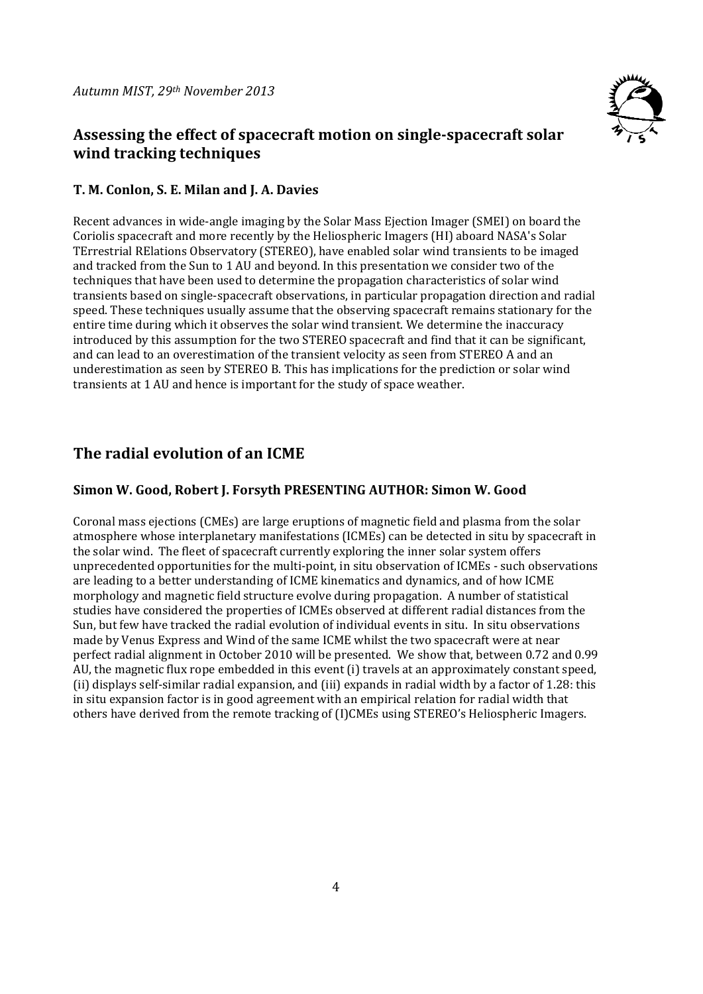

# **Assessing the effect of spacecraft motion on single‐spacecraft solar wind tracking techniques**

### **T. M. Conlon, S. E. Milan and J. A. Davies**

Recent advances in wide-angle imaging by the Solar Mass Ejection Imager (SMEI) on board the Coriolis spacecraft and more recently by the Heliospheric Imagers (HI) aboard NASA's Solar TErrestrial RElations Observatory (STEREO), have enabled solar wind transients to be imaged and tracked from the Sun to 1 AU and beyond. In this presentation we consider two of the techniques that have been used to determine the propagation characteristics of solar wind transients based on single-spacecraft observations, in particular propagation direction and radial speed. These techniques usually assume that the observing spacecraft remains stationary for the entire time during which it observes the solar wind transient. We determine the inaccuracy introduced by this assumption for the two STEREO spacecraft and find that it can be significant, and can lead to an overestimation of the transient velocity as seen from STEREO A and an underestimation as seen by STEREO B. This has implications for the prediction or solar wind transients at 1 AU and hence is important for the study of space weather.

# **The radial evolution of an ICME**

#### **Simon W. Good, Robert J. Forsyth PRESENTING AUTHOR: Simon W. Good**

Coronal mass ejections (CMEs) are large eruptions of magnetic field and plasma from the solar atmosphere whose interplanetary manifestations (ICMEs) can be detected in situ by spacecraft in the solar wind. The fleet of spacecraft currently exploring the inner solar system offers unprecedented opportunities for the multi-point, in situ observation of ICMEs - such observations are leading to a better understanding of ICME kinematics and dynamics, and of how ICME morphology and magnetic field structure evolve during propagation. A number of statistical studies have considered the properties of ICMEs observed at different radial distances from the Sun, but few have tracked the radial evolution of individual events in situ. In situ observations made by Venus Express and Wind of the same ICME whilst the two spacecraft were at near perfect radial alignment in October 2010 will be presented. We show that, between 0.72 and 0.99 AU, the magnetic flux rope embedded in this event (i) travels at an approximately constant speed, (ii) displays self-similar radial expansion, and (iii) expands in radial width by a factor of 1.28: this in situ expansion factor is in good agreement with an empirical relation for radial width that others have derived from the remote tracking of (I)CMEs using STEREO's Heliospheric Imagers.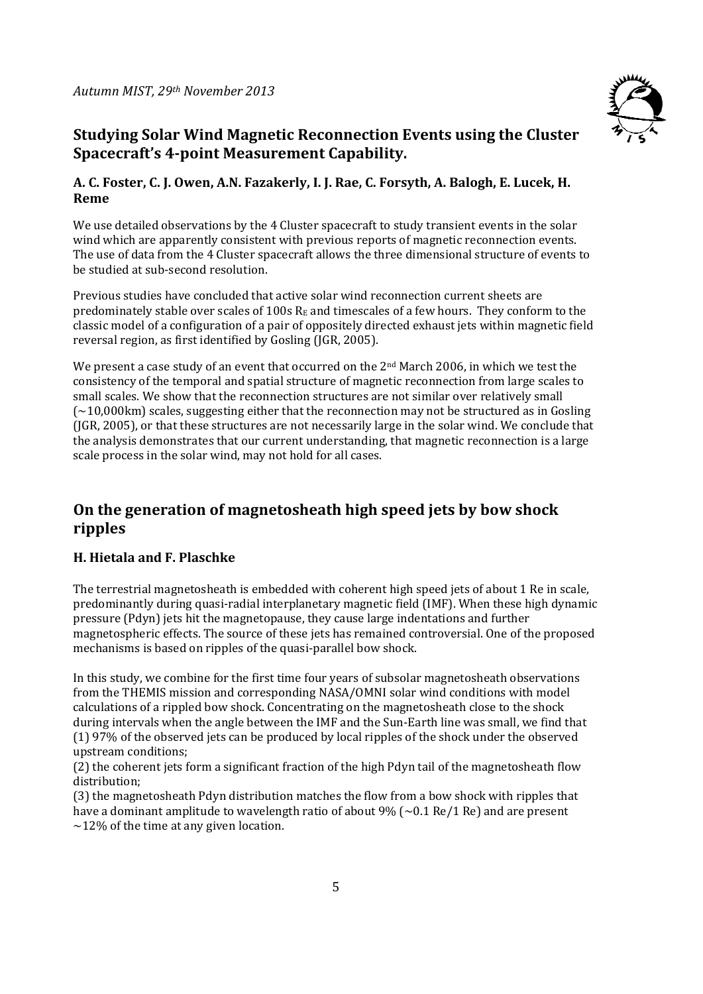

# **Studying Solar Wind Magnetic Reconnection Events using the Cluster Spacecraft's 4‐point Measurement Capability.**

#### **A. C. Foster, C. J. Owen, A.N. Fazakerly, I. J. Rae, C. Forsyth, A. Balogh, E. Lucek, H. Reme**

We use detailed observations by the 4 Cluster spacecraft to study transient events in the solar wind which are apparently consistent with previous reports of magnetic reconnection events. The use of data from the 4 Cluster spacecraft allows the three dimensional structure of events to be studied at sub-second resolution.

Previous studies have concluded that active solar wind reconnection current sheets are predominately stable over scales of 100s  $R_E$  and timescales of a few hours. They conform to the classic model of a configuration of a pair of oppositely directed exhaust jets within magnetic field reversal region, as first identified by Gosling (JGR, 2005).

We present a case study of an event that occurred on the  $2<sup>nd</sup>$  March 2006, in which we test the consistency of the temporal and spatial structure of magnetic reconnection from large scales to small scales. We show that the reconnection structures are not similar over relatively small  $\sim$  10,000km) scales, suggesting either that the reconnection may not be structured as in Gosling  $($ [ $|GR, 2005$ ], or that these structures are not necessarily large in the solar wind. We conclude that the analysis demonstrates that our current understanding, that magnetic reconnection is a large scale process in the solar wind, may not hold for all cases.

# **On the generation of magnetosheath high speed jets by bow shock ripples**

#### **H. Hietala and F. Plaschke**

The terrestrial magnetosheath is embedded with coherent high speed jets of about 1 Re in scale, predominantly during quasi-radial interplanetary magnetic field (IMF). When these high dynamic pressure (Pdyn) jets hit the magnetopause, they cause large indentations and further magnetospheric effects. The source of these jets has remained controversial. One of the proposed mechanisms is based on ripples of the quasi-parallel bow shock.

In this study, we combine for the first time four years of subsolar magnetosheath observations from the THEMIS mission and corresponding NASA/OMNI solar wind conditions with model calculations of a rippled bow shock. Concentrating on the magnetosheath close to the shock during intervals when the angle between the IMF and the Sun-Earth line was small, we find that (1) 97% of the observed jets can be produced by local ripples of the shock under the observed upstream conditions; 

(2) the coherent jets form a significant fraction of the high Pdyn tail of the magnetosheath flow distribution; 

(3) the magnetosheath Pdyn distribution matches the flow from a bow shock with ripples that have a dominant amplitude to wavelength ratio of about  $9\%$  (~0.1 Re/1 Re) and are present  $\sim$ 12% of the time at any given location.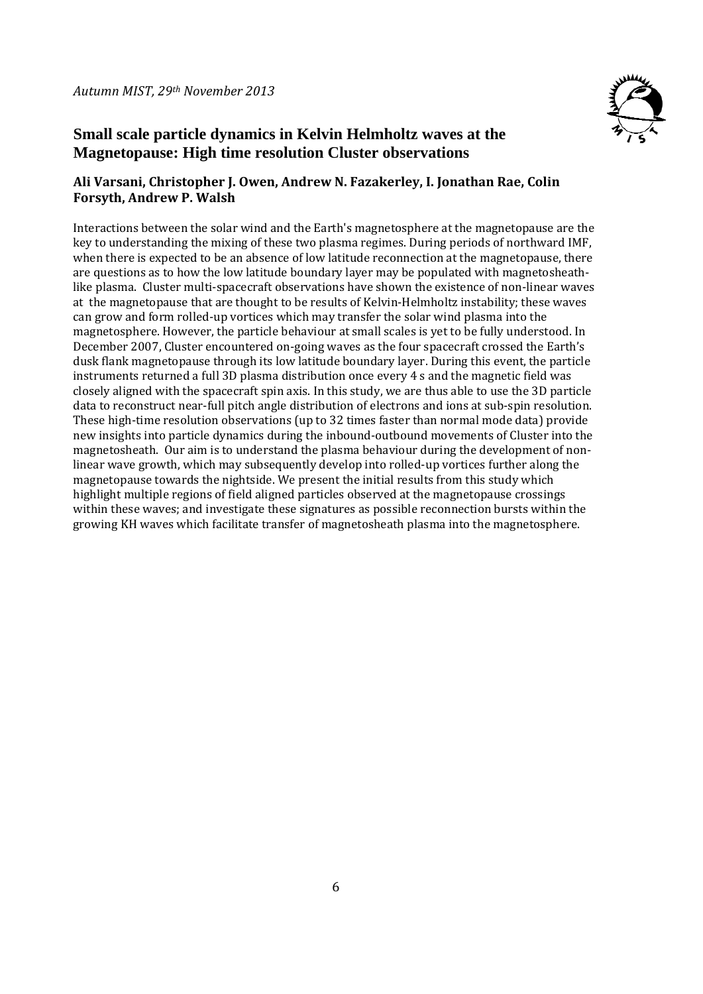

# **Small scale particle dynamics in Kelvin Helmholtz waves at the Magnetopause: High time resolution Cluster observations**

### **Ali Varsani, Christopher J. Owen, Andrew N. Fazakerley, I. Jonathan Rae, Colin Forsyth, Andrew P. Walsh**

Interactions between the solar wind and the Earth's magnetosphere at the magnetopause are the key to understanding the mixing of these two plasma regimes. During periods of northward IMF, when there is expected to be an absence of low latitude reconnection at the magnetopause, there are questions as to how the low latitude boundary layer may be populated with magnetosheathlike plasma. Cluster multi-spacecraft observations have shown the existence of non-linear waves at the magnetopause that are thought to be results of Kelvin-Helmholtz instability; these waves can grow and form rolled-up vortices which may transfer the solar wind plasma into the magnetosphere. However, the particle behaviour at small scales is yet to be fully understood. In December 2007, Cluster encountered on-going waves as the four spacecraft crossed the Earth's dusk flank magnetopause through its low latitude boundary layer. During this event, the particle instruments returned a full 3D plasma distribution once every  $4 \text{ s}$  and the magnetic field was closely aligned with the spacecraft spin axis. In this study, we are thus able to use the 3D particle data to reconstruct near-full pitch angle distribution of electrons and ions at sub-spin resolution. These high-time resolution observations (up to 32 times faster than normal mode data) provide new insights into particle dynamics during the inbound-outbound movements of Cluster into the magnetosheath. Our aim is to understand the plasma behaviour during the development of nonlinear wave growth, which may subsequently develop into rolled-up vortices further along the magnetopause towards the nightside. We present the initial results from this study which highlight multiple regions of field aligned particles observed at the magnetopause crossings within these waves; and investigate these signatures as possible reconnection bursts within the growing KH waves which facilitate transfer of magnetosheath plasma into the magnetosphere.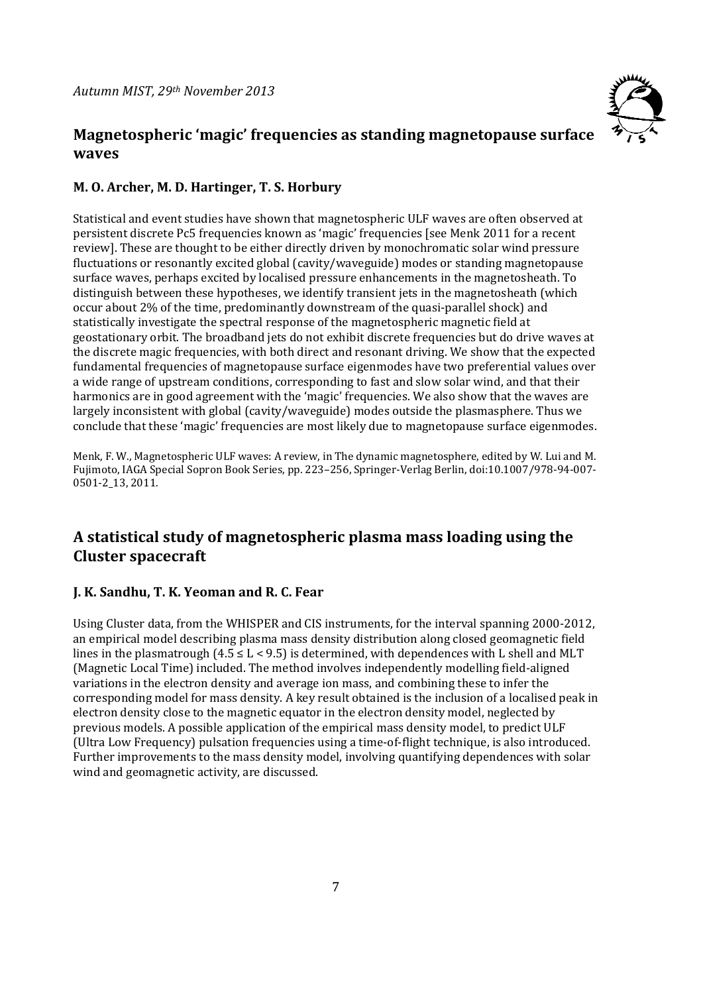# **Magnetospheric 'magic' frequencies as standing magnetopause surface waves**



#### **M. O. Archer, M. D. Hartinger, T. S. Horbury**

Statistical and event studies have shown that magnetospheric ULF waves are often observed at persistent discrete Pc5 frequencies known as 'magic' frequencies [see Menk 2011 for a recent review]. These are thought to be either directly driven by monochromatic solar wind pressure fluctuations or resonantly excited global (cavity/waveguide) modes or standing magnetopause surface waves, perhaps excited by localised pressure enhancements in the magnetosheath. To distinguish between these hypotheses, we identify transient jets in the magnetosheath (which occur about 2% of the time, predominantly downstream of the quasi-parallel shock) and statistically investigate the spectral response of the magnetospheric magnetic field at geostationary orbit. The broadband jets do not exhibit discrete frequencies but do drive waves at the discrete magic frequencies, with both direct and resonant driving. We show that the expected fundamental frequencies of magnetopause surface eigenmodes have two preferential values over a wide range of upstream conditions, corresponding to fast and slow solar wind, and that their harmonics are in good agreement with the 'magic' frequencies. We also show that the waves are largely inconsistent with global (cavity/waveguide) modes outside the plasmasphere. Thus we conclude that these 'magic' frequencies are most likely due to magnetopause surface eigenmodes.

Menk, F. W., Magnetospheric ULF waves: A review, in The dynamic magnetosphere, edited by W. Lui and M. Fujimoto, IAGA Special Sopron Book Series, pp. 223–256, Springer-Verlag Berlin, doi:10.1007/978-94-007-0501‐2\_13, 2011. 

# **A statistical study of magnetospheric plasma mass loading using the Cluster spacecraft**

#### **J. K. Sandhu, T. K. Yeoman and R. C. Fear**

Using Cluster data, from the WHISPER and CIS instruments, for the interval spanning 2000-2012, an empirical model describing plasma mass density distribution along closed geomagnetic field lines in the plasmatrough  $(4.5 \le L < 9.5)$  is determined, with dependences with L shell and MLT (Magnetic Local Time) included. The method involves independently modelling field-aligned variations in the electron density and average ion mass, and combining these to infer the corresponding model for mass density. A key result obtained is the inclusion of a localised peak in electron density close to the magnetic equator in the electron density model, neglected by previous models. A possible application of the empirical mass density model, to predict ULF (Ultra Low Frequency) pulsation frequencies using a time-of-flight technique, is also introduced. Further improvements to the mass density model, involving quantifying dependences with solar wind and geomagnetic activity, are discussed.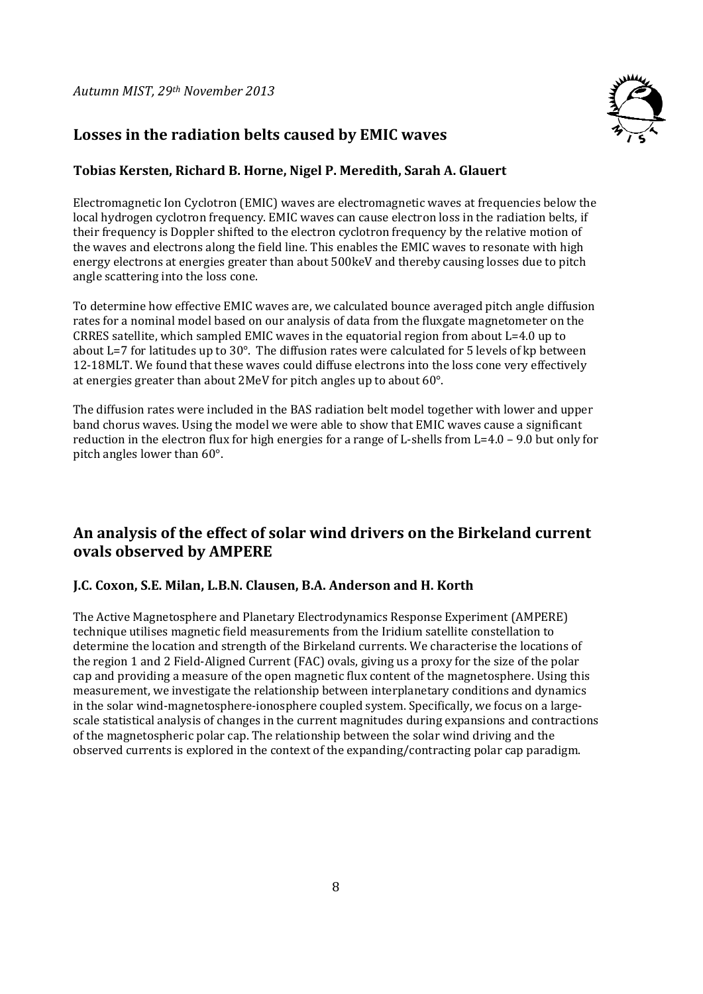

# **Losses in the radiation belts caused by EMIC waves**

#### **Tobias Kersten, Richard B. Horne, Nigel P. Meredith, Sarah A. Glauert**

Electromagnetic Ion Cyclotron (EMIC) waves are electromagnetic waves at frequencies below the local hydrogen cyclotron frequency. EMIC waves can cause electron loss in the radiation belts, if their frequency is Doppler shifted to the electron cyclotron frequency by the relative motion of the waves and electrons along the field line. This enables the EMIC waves to resonate with high energy electrons at energies greater than about 500keV and thereby causing losses due to pitch angle scattering into the loss cone.

To determine how effective EMIC waves are, we calculated bounce averaged pitch angle diffusion rates for a nominal model based on our analysis of data from the fluxgate magnetometer on the CRRES satellite, which sampled EMIC waves in the equatorial region from about  $L=4.0$  up to about  $L=7$  for latitudes up to  $30^{\circ}$ . The diffusion rates were calculated for 5 levels of kp between 12-18MLT. We found that these waves could diffuse electrons into the loss cone very effectively at energies greater than about  $2$ MeV for pitch angles up to about  $60^\circ$ .

The diffusion rates were included in the BAS radiation belt model together with lower and upper band chorus waves. Using the model we were able to show that EMIC waves cause a significant reduction in the electron flux for high energies for a range of L-shells from  $L=4.0 - 9.0$  but only for pitch angles lower than  $60^\circ$ .

# **An analysis of the effect of solar wind drivers on the Birkeland current ovals observed by AMPERE**

#### **J.C. Coxon, S.E. Milan, L.B.N. Clausen, B.A. Anderson and H. Korth**

The Active Magnetosphere and Planetary Electrodynamics Response Experiment (AMPERE) technique utilises magnetic field measurements from the Iridium satellite constellation to determine the location and strength of the Birkeland currents. We characterise the locations of the region 1 and 2 Field-Aligned Current (FAC) ovals, giving us a proxy for the size of the polar cap and providing a measure of the open magnetic flux content of the magnetosphere. Using this measurement, we investigate the relationship between interplanetary conditions and dynamics in the solar wind-magnetosphere-ionosphere coupled system. Specifically, we focus on a largescale statistical analysis of changes in the current magnitudes during expansions and contractions of the magnetospheric polar cap. The relationship between the solar wind driving and the observed currents is explored in the context of the expanding/contracting polar cap paradigm.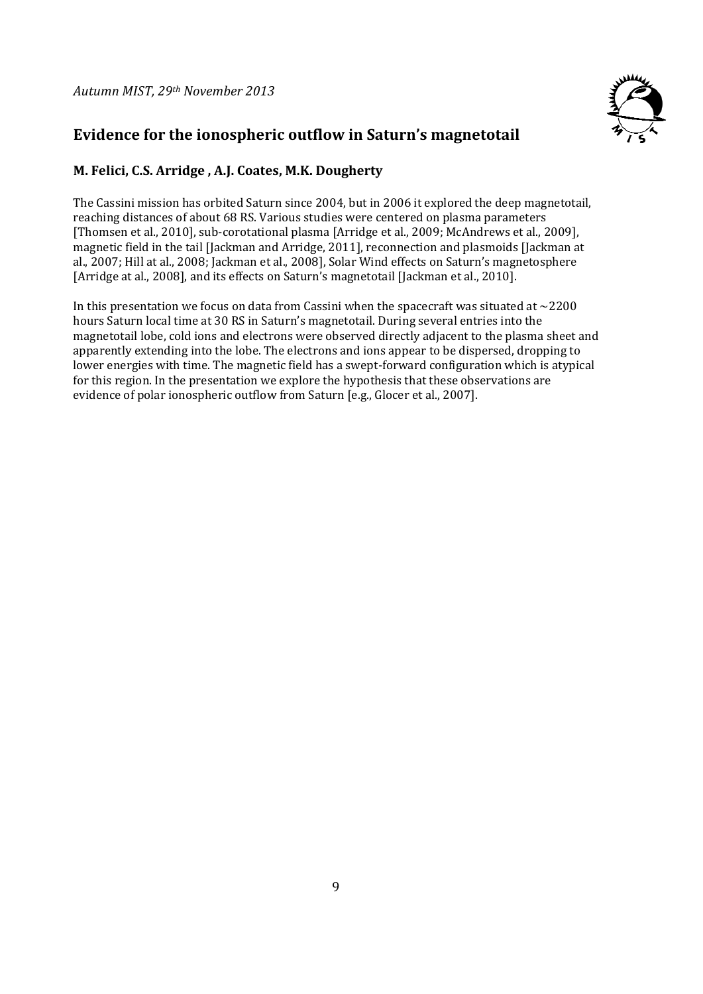

# **Evidence for the ionospheric outflow in Saturn's magnetotail**

### **M. Felici, C.S. Arridge , A.J. Coates, M.K. Dougherty**

The Cassini mission has orbited Saturn since 2004, but in 2006 it explored the deep magnetotail. reaching distances of about 68 RS. Various studies were centered on plasma parameters [Thomsen et al., 2010], sub-corotational plasma [Arridge et al., 2009; McAndrews et al., 2009], magnetic field in the tail [Jackman and Arridge, 2011], reconnection and plasmoids [Jackman at al., 2007; Hill at al., 2008; Jackman et al., 2008], Solar Wind effects on Saturn's magnetosphere [Arridge at al., 2008], and its effects on Saturn's magnetotail [Jackman et al., 2010].

In this presentation we focus on data from Cassini when the spacecraft was situated at  $\sim$ 2200 hours Saturn local time at 30 RS in Saturn's magnetotail. During several entries into the magnetotail lobe, cold ions and electrons were observed directly adjacent to the plasma sheet and apparently extending into the lobe. The electrons and ions appear to be dispersed, dropping to lower energies with time. The magnetic field has a swept-forward configuration which is atypical for this region. In the presentation we explore the hypothesis that these observations are evidence of polar ionospheric outflow from Saturn [e.g., Glocer et al., 2007].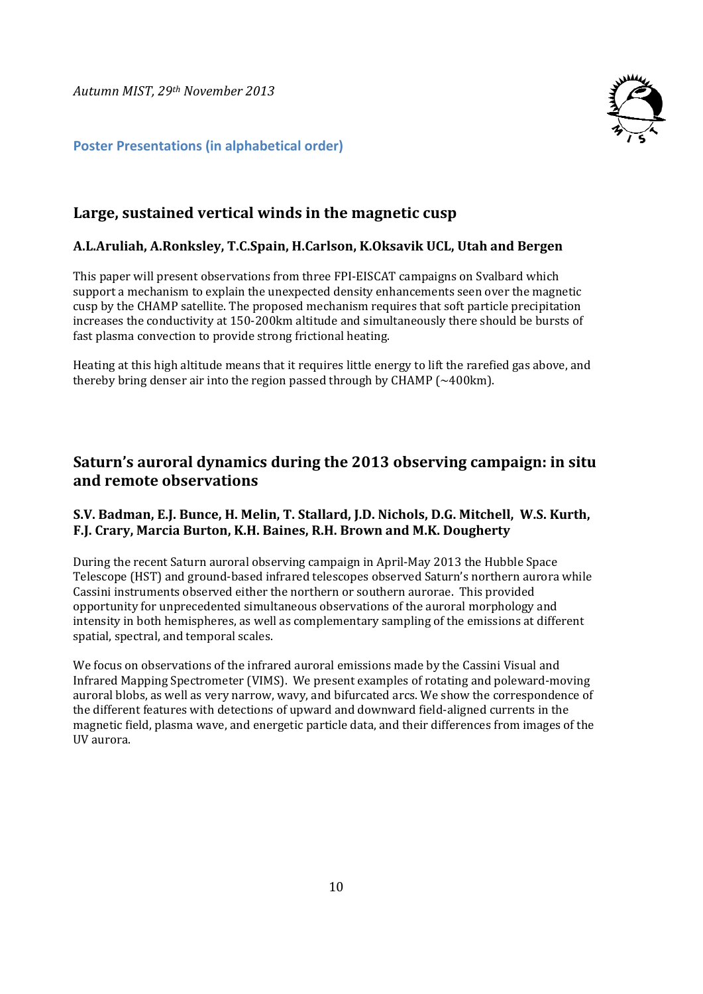*Autumn MIST, 29th November 2013*



#### **Poster Presentations (in alphabetical order)**

# **Large, sustained vertical winds in the magnetic cusp**

#### **A.L.Aruliah, A.Ronksley, T.C.Spain, H.Carlson, K.Oksavik UCL, Utah and Bergen**

This paper will present observations from three FPI‐EISCAT campaigns on Svalbard which support a mechanism to explain the unexpected density enhancements seen over the magnetic cusp by the CHAMP satellite. The proposed mechanism requires that soft particle precipitation increases the conductivity at 150-200km altitude and simultaneously there should be bursts of fast plasma convection to provide strong frictional heating.

Heating at this high altitude means that it requires little energy to lift the rarefied gas above, and thereby bring denser air into the region passed through by CHAMP  $(~400km)$ .

# **Saturn's auroral dynamics during the 2013 observing campaign: in situ and remote observations**

#### **S.V. Badman, E.J. Bunce, H. Melin, T. Stallard, J.D. Nichols, D.G. Mitchell, W.S. Kurth, F.J. Crary, Marcia Burton, K.H. Baines, R.H. Brown and M.K. Dougherty**

During the recent Saturn auroral observing campaign in April-May 2013 the Hubble Space Telescope (HST) and ground-based infrared telescopes observed Saturn's northern aurora while Cassini instruments observed either the northern or southern aurorae. This provided opportunity for unprecedented simultaneous observations of the auroral morphology and intensity in both hemispheres, as well as complementary sampling of the emissions at different spatial, spectral, and temporal scales.

We focus on observations of the infrared auroral emissions made by the Cassini Visual and Infrared Mapping Spectrometer (VIMS). We present examples of rotating and poleward-moving auroral blobs, as well as very narrow, wavy, and bifurcated arcs. We show the correspondence of the different features with detections of upward and downward field-aligned currents in the magnetic field, plasma wave, and energetic particle data, and their differences from images of the UV aurora.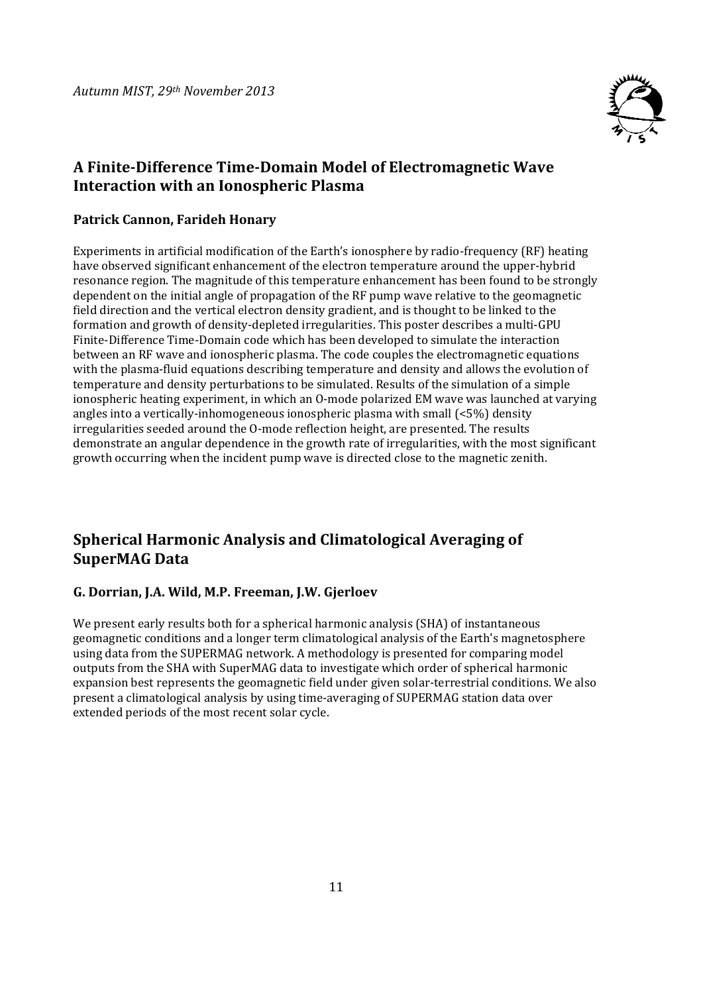

### **A Finite‐Difference Time‐Domain Model of Electromagnetic Wave Interaction with an Ionospheric Plasma**

#### **Patrick Cannon, Farideh Honary**

Experiments in artificial modification of the Earth's ionosphere by radio-frequency (RF) heating have observed significant enhancement of the electron temperature around the upper-hybrid resonance region. The magnitude of this temperature enhancement has been found to be strongly dependent on the initial angle of propagation of the RF pump wave relative to the geomagnetic field direction and the vertical electron density gradient, and is thought to be linked to the formation and growth of density-depleted irregularities. This poster describes a multi-GPU Finite-Difference Time-Domain code which has been developed to simulate the interaction between an RF wave and ionospheric plasma. The code couples the electromagnetic equations with the plasma-fluid equations describing temperature and density and allows the evolution of temperature and density perturbations to be simulated. Results of the simulation of a simple ionospheric heating experiment, in which an O-mode polarized EM wave was launched at varying angles into a vertically-inhomogeneous ionospheric plasma with small  $\left( \langle 5\% \rangle \right)$  density irregularities seeded around the O-mode reflection height, are presented. The results demonstrate an angular dependence in the growth rate of irregularities, with the most significant growth occurring when the incident pump wave is directed close to the magnetic zenith.

# **Spherical Harmonic Analysis and Climatological Averaging of SuperMAG Data**

#### **G. Dorrian, J.A. Wild, M.P. Freeman, J.W. Gjerloev**

We present early results both for a spherical harmonic analysis (SHA) of instantaneous geomagnetic conditions and a longer term climatological analysis of the Earth's magnetosphere using data from the SUPERMAG network. A methodology is presented for comparing model outputs from the SHA with SuperMAG data to investigate which order of spherical harmonic expansion best represents the geomagnetic field under given solar-terrestrial conditions. We also present a climatological analysis by using time-averaging of SUPERMAG station data over extended periods of the most recent solar cycle.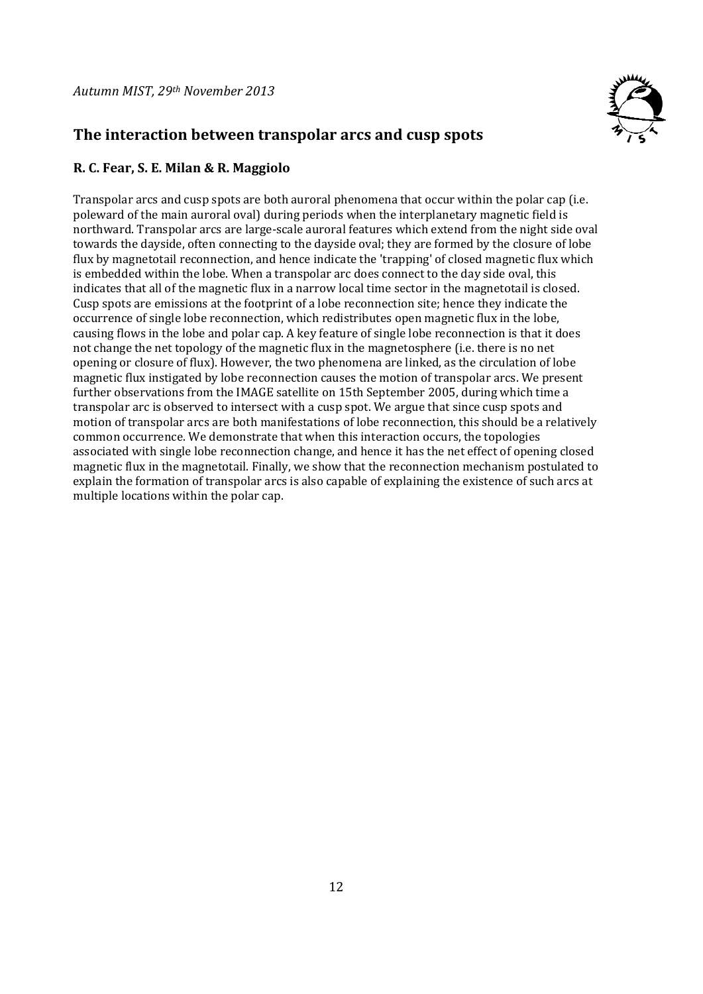

# **The interaction between transpolar arcs and cusp spots**

#### **R. C. Fear, S. E. Milan & R. Maggiolo**

Transpolar arcs and cusp spots are both auroral phenomena that occur within the polar cap (i.e. poleward of the main auroral oval) during periods when the interplanetary magnetic field is northward. Transpolar arcs are large-scale auroral features which extend from the night side oval towards the dayside, often connecting to the dayside oval; they are formed by the closure of lobe flux by magnetotail reconnection, and hence indicate the 'trapping' of closed magnetic flux which is embedded within the lobe. When a transpolar arc does connect to the day side oval, this indicates that all of the magnetic flux in a narrow local time sector in the magnetotail is closed. Cusp spots are emissions at the footprint of a lobe reconnection site; hence they indicate the occurrence of single lobe reconnection, which redistributes open magnetic flux in the lobe, causing flows in the lobe and polar cap. A key feature of single lobe reconnection is that it does not change the net topology of the magnetic flux in the magnetosphere (i.e. there is no net opening or closure of flux). However, the two phenomena are linked, as the circulation of lobe magnetic flux instigated by lobe reconnection causes the motion of transpolar arcs. We present further observations from the IMAGE satellite on 15th September 2005, during which time a transpolar arc is observed to intersect with a cusp spot. We argue that since cusp spots and motion of transpolar arcs are both manifestations of lobe reconnection, this should be a relatively common occurrence. We demonstrate that when this interaction occurs, the topologies associated with single lobe reconnection change, and hence it has the net effect of opening closed magnetic flux in the magnetotail. Finally, we show that the reconnection mechanism postulated to explain the formation of transpolar arcs is also capable of explaining the existence of such arcs at multiple locations within the polar cap.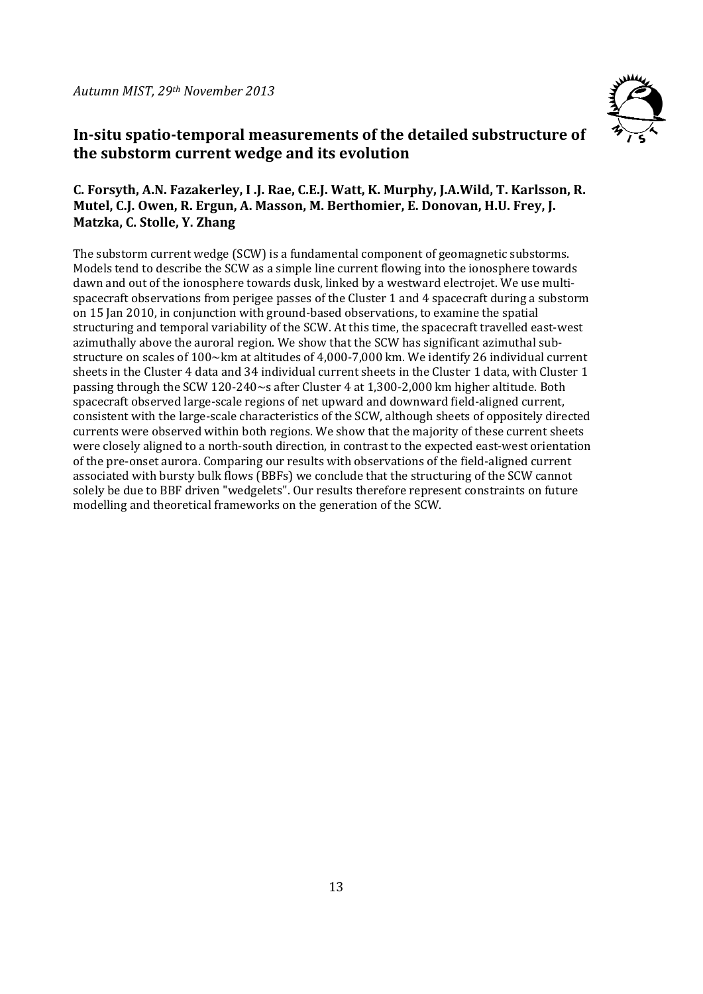

# **In‐situ spatio‐temporal measurements of the detailed substructure of the substorm current wedge and its evolution**

#### **C. Forsyth, A.N. Fazakerley, I .J. Rae, C.E.J. Watt, K. Murphy, J.A.Wild, T. Karlsson, R. Mutel, C.J. Owen, R. Ergun, A. Masson, M. Berthomier, E. Donovan, H.U. Frey, J. Matzka, C. Stolle, Y. Zhang**

The substorm current wedge (SCW) is a fundamental component of geomagnetic substorms. Models tend to describe the SCW as a simple line current flowing into the ionosphere towards dawn and out of the ionosphere towards dusk, linked by a westward electrojet. We use multispacecraft observations from perigee passes of the Cluster 1 and 4 spacecraft during a substorm on 15 Jan 2010, in conjunction with ground-based observations, to examine the spatial structuring and temporal variability of the SCW. At this time, the spacecraft travelled east-west azimuthally above the auroral region. We show that the SCW has significant azimuthal substructure on scales of  $100 \times$ km at altitudes of 4,000-7,000 km. We identify 26 individual current sheets in the Cluster 4 data and 34 individual current sheets in the Cluster 1 data, with Cluster 1 passing through the SCW 120-240 $\sim$ s after Cluster 4 at 1,300-2,000 km higher altitude. Both spacecraft observed large-scale regions of net upward and downward field-aligned current, consistent with the large-scale characteristics of the SCW, although sheets of oppositely directed currents were observed within both regions. We show that the majority of these current sheets were closely aligned to a north-south direction, in contrast to the expected east-west orientation of the pre-onset aurora. Comparing our results with observations of the field-aligned current associated with bursty bulk flows (BBFs) we conclude that the structuring of the SCW cannot solely be due to BBF driven "wedgelets". Our results therefore represent constraints on future modelling and theoretical frameworks on the generation of the SCW.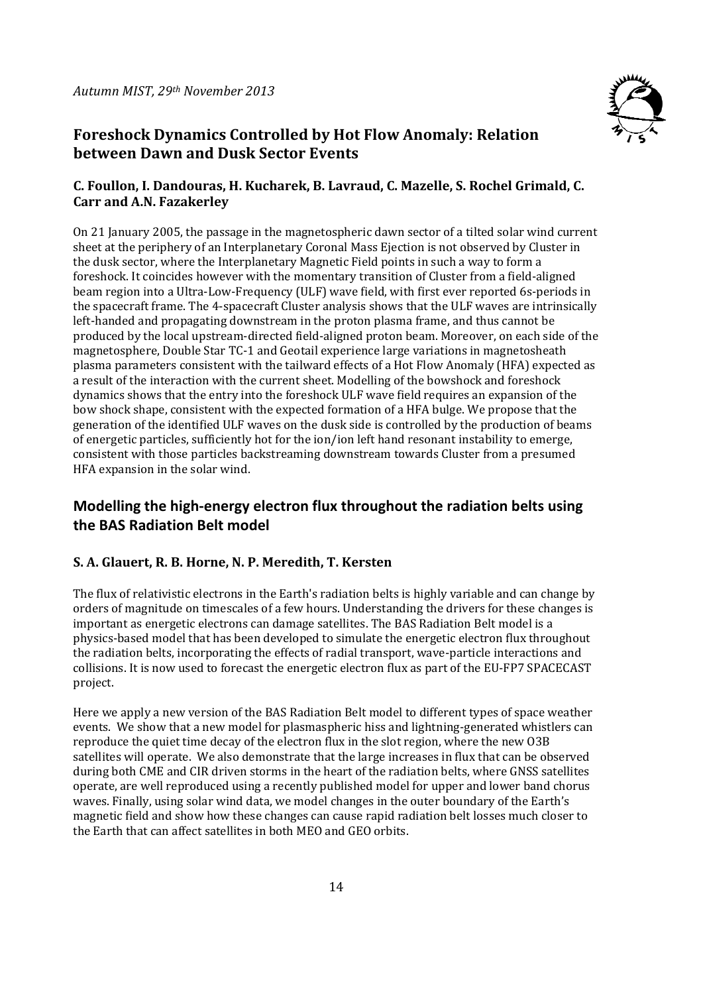

# **Foreshock Dynamics Controlled by Hot Flow Anomaly: Relation between Dawn and Dusk Sector Events**

#### **C. Foullon, I. Dandouras, H. Kucharek, B. Lavraud, C. Mazelle, S. Rochel Grimald, C. Carr and A.N. Fazakerley**

On 21 January 2005, the passage in the magnetospheric dawn sector of a tilted solar wind current sheet at the periphery of an Interplanetary Coronal Mass Ejection is not observed by Cluster in the dusk sector, where the Interplanetary Magnetic Field points in such a way to form a foreshock. It coincides however with the momentary transition of Cluster from a field-aligned beam region into a Ultra-Low-Frequency (ULF) wave field, with first ever reported 6s-periods in the spacecraft frame. The 4-spacecraft Cluster analysis shows that the ULF waves are intrinsically left-handed and propagating downstream in the proton plasma frame, and thus cannot be produced by the local upstream-directed field-aligned proton beam. Moreover, on each side of the magnetosphere, Double Star TC-1 and Geotail experience large variations in magnetosheath plasma parameters consistent with the tailward effects of a Hot Flow Anomaly (HFA) expected as a result of the interaction with the current sheet. Modelling of the bowshock and foreshock dynamics shows that the entry into the foreshock ULF wave field requires an expansion of the bow shock shape, consistent with the expected formation of a HFA bulge. We propose that the generation of the identified ULF waves on the dusk side is controlled by the production of beams of energetic particles, sufficiently hot for the ion/ion left hand resonant instability to emerge, consistent with those particles backstreaming downstream towards Cluster from a presumed HFA expansion in the solar wind.

# **Modelling the high‐energy electron flux throughout the radiation belts using the BAS Radiation Belt model**

### **S. A. Glauert, R. B. Horne, N. P. Meredith, T. Kersten**

The flux of relativistic electrons in the Earth's radiation belts is highly variable and can change by orders of magnitude on timescales of a few hours. Understanding the drivers for these changes is important as energetic electrons can damage satellites. The BAS Radiation Belt model is a physics-based model that has been developed to simulate the energetic electron flux throughout the radiation belts, incorporating the effects of radial transport, wave-particle interactions and collisions. It is now used to forecast the energetic electron flux as part of the EU-FP7 SPACECAST project. 

Here we apply a new version of the BAS Radiation Belt model to different types of space weather events. We show that a new model for plasmaspheric hiss and lightning-generated whistlers can reproduce the quiet time decay of the electron flux in the slot region, where the new O3B satellites will operate. We also demonstrate that the large increases in flux that can be observed during both CME and CIR driven storms in the heart of the radiation belts, where GNSS satellites operate, are well reproduced using a recently published model for upper and lower band chorus waves. Finally, using solar wind data, we model changes in the outer boundary of the Earth's magnetic field and show how these changes can cause rapid radiation belt losses much closer to the Earth that can affect satellites in both MEO and GEO orbits.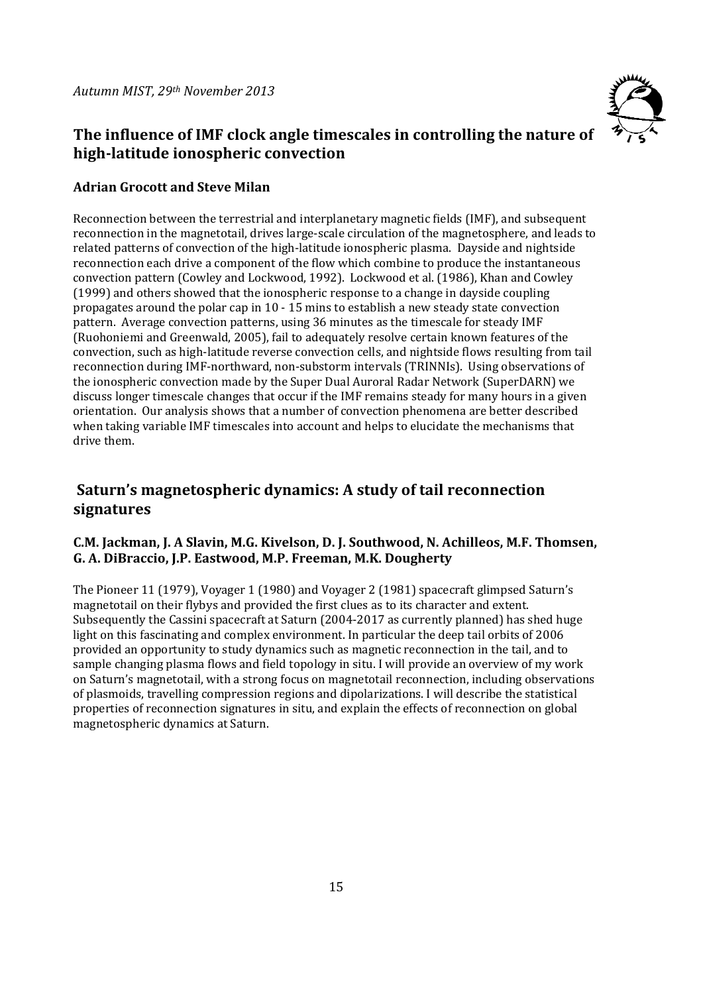

# **The influence of IMF clock angle timescales in controlling the nature of high‐latitude ionospheric convection**

#### **Adrian Grocott and Steve Milan**

Reconnection between the terrestrial and interplanetary magnetic fields (IMF), and subsequent reconnection in the magnetotail, drives large-scale circulation of the magnetosphere, and leads to related patterns of convection of the high-latitude ionospheric plasma. Dayside and nightside reconnection each drive a component of the flow which combine to produce the instantaneous convection pattern (Cowley and Lockwood, 1992). Lockwood et al. (1986), Khan and Cowley  $(1999)$  and others showed that the ionospheric response to a change in dayside coupling propagates around the polar cap in  $10 - 15$  mins to establish a new steady state convection pattern. Average convection patterns, using 36 minutes as the timescale for steady IMF (Ruohoniemi and Greenwald, 2005), fail to adequately resolve certain known features of the convection, such as high-latitude reverse convection cells, and nightside flows resulting from tail reconnection during IMF-northward, non-substorm intervals (TRINNIs). Using observations of the ionospheric convection made by the Super Dual Auroral Radar Network (SuperDARN) we discuss longer timescale changes that occur if the IMF remains steady for many hours in a given orientation. Our analysis shows that a number of convection phenomena are better described when taking variable IMF timescales into account and helps to elucidate the mechanisms that drive them.

### **Saturn's magnetospheric dynamics: A study of tail reconnection signatures**

#### **C.M. Jackman, J. A Slavin, M.G. Kivelson, D. J. Southwood, N. Achilleos, M.F. Thomsen, G. A. DiBraccio, J.P. Eastwood, M.P. Freeman, M.K. Dougherty**

The Pioneer 11 (1979), Voyager 1 (1980) and Voyager 2 (1981) spacecraft glimpsed Saturn's magnetotail on their flybys and provided the first clues as to its character and extent. Subsequently the Cassini spacecraft at Saturn  $(2004-2017)$  as currently planned) has shed huge light on this fascinating and complex environment. In particular the deep tail orbits of 2006 provided an opportunity to study dynamics such as magnetic reconnection in the tail, and to sample changing plasma flows and field topology in situ. I will provide an overview of my work on Saturn's magnetotail, with a strong focus on magnetotail reconnection, including observations of plasmoids, travelling compression regions and dipolarizations. I will describe the statistical properties of reconnection signatures in situ, and explain the effects of reconnection on global magnetospheric dynamics at Saturn.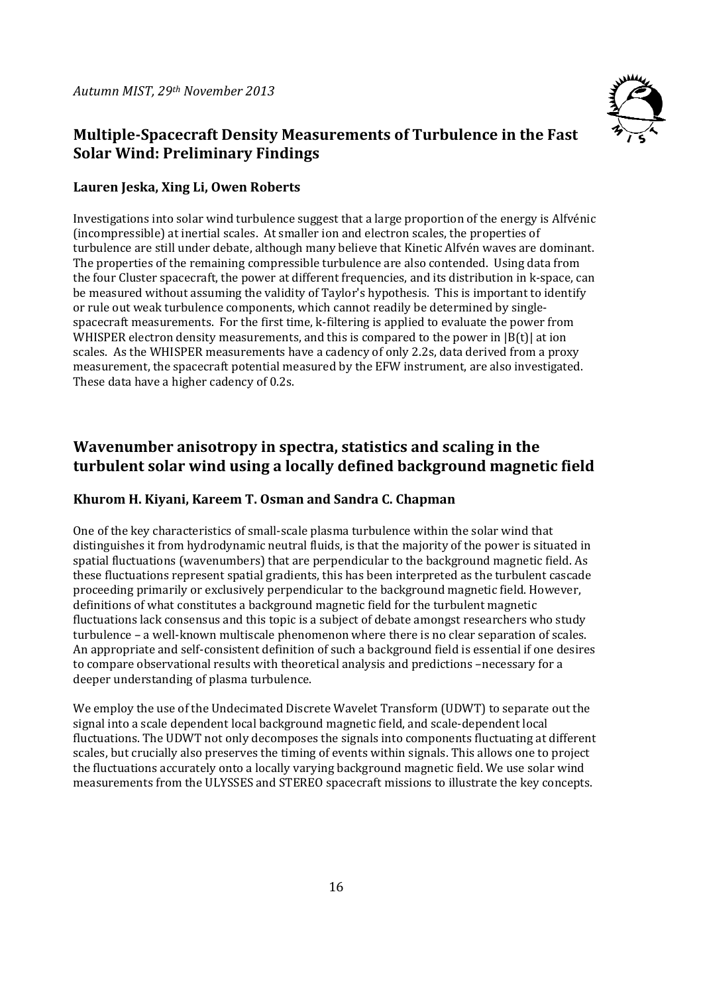

# **Multiple‐Spacecraft Density Measurements of Turbulence in the Fast Solar Wind: Preliminary Findings**

#### **Lauren Jeska, Xing Li, Owen Roberts**

Investigations into solar wind turbulence suggest that a large proportion of the energy is Alfvénic (incompressible) at inertial scales. At smaller ion and electron scales, the properties of turbulence are still under debate, although many believe that Kinetic Alfvén waves are dominant. The properties of the remaining compressible turbulence are also contended. Using data from the four Cluster spacecraft, the power at different frequencies, and its distribution in k-space, can be measured without assuming the validity of Taylor's hypothesis. This is important to identify or rule out weak turbulence components, which cannot readily be determined by singlespacecraft measurements. For the first time, k-filtering is applied to evaluate the power from WHISPER electron density measurements, and this is compared to the power in  $|B(t)|$  at ion scales. As the WHISPER measurements have a cadency of only 2.2s, data derived from a proxy measurement, the spacecraft potential measured by the EFW instrument, are also investigated. These data have a higher cadency of 0.2s.

# **Wavenumber anisotropy in spectra, statistics and scaling in the turbulent solar wind using a locally defined background magnetic field**

#### **Khurom H. Kiyani, Kareem T. Osman and Sandra C. Chapman**

One of the key characteristics of small-scale plasma turbulence within the solar wind that distinguishes it from hydrodynamic neutral fluids, is that the majority of the power is situated in spatial fluctuations (wavenumbers) that are perpendicular to the background magnetic field. As these fluctuations represent spatial gradients, this has been interpreted as the turbulent cascade proceeding primarily or exclusively perpendicular to the background magnetic field. However, definitions of what constitutes a background magnetic field for the turbulent magnetic fluctuations lack consensus and this topic is a subject of debate amongst researchers who study turbulence – a well-known multiscale phenomenon where there is no clear separation of scales. An appropriate and self-consistent definition of such a background field is essential if one desires to compare observational results with theoretical analysis and predictions -necessary for a deeper understanding of plasma turbulence.

We employ the use of the Undecimated Discrete Wavelet Transform (UDWT) to separate out the signal into a scale dependent local background magnetic field, and scale-dependent local fluctuations. The UDWT not only decomposes the signals into components fluctuating at different scales, but crucially also preserves the timing of events within signals. This allows one to project the fluctuations accurately onto a locally varying background magnetic field. We use solar wind measurements from the ULYSSES and STEREO spacecraft missions to illustrate the key concepts.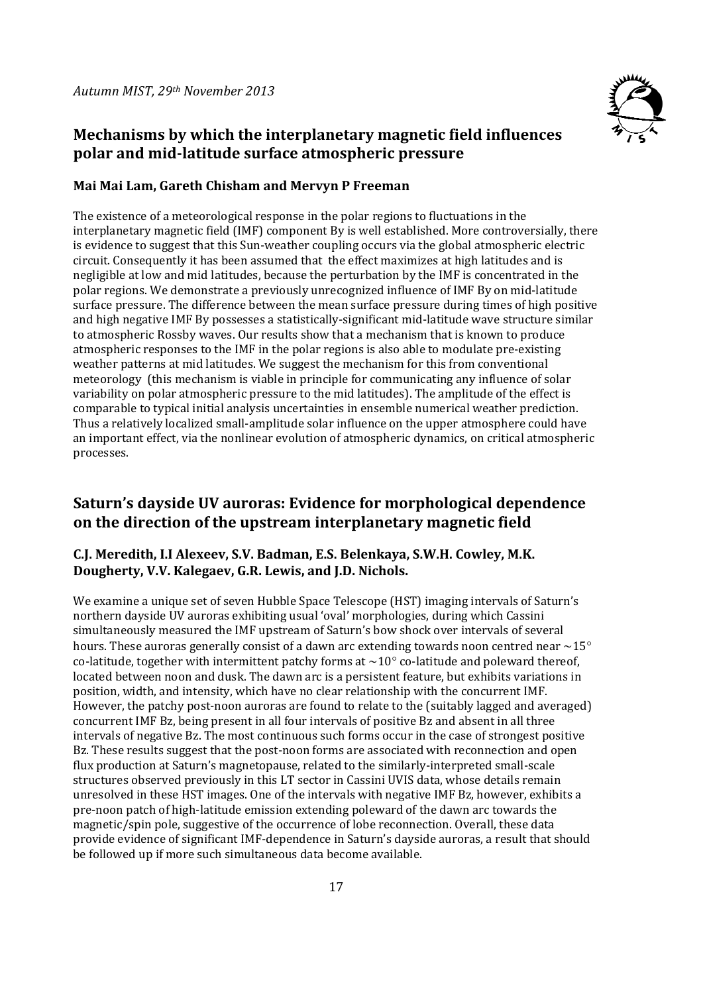

# **Mechanisms by which the interplanetary magnetic field influences polar and mid‐latitude surface atmospheric pressure**

#### **Mai Mai Lam, Gareth Chisham and Mervyn P Freeman**

The existence of a meteorological response in the polar regions to fluctuations in the interplanetary magnetic field (IMF) component By is well established. More controversially, there is evidence to suggest that this Sun-weather coupling occurs via the global atmospheric electric circuit. Consequently it has been assumed that the effect maximizes at high latitudes and is negligible at low and mid latitudes, because the perturbation by the IMF is concentrated in the polar regions. We demonstrate a previously unrecognized influence of IMF By on mid-latitude surface pressure. The difference between the mean surface pressure during times of high positive and high negative IMF By possesses a statistically-significant mid-latitude wave structure similar to atmospheric Rossby waves. Our results show that a mechanism that is known to produce atmospheric responses to the IMF in the polar regions is also able to modulate pre-existing weather patterns at mid latitudes. We suggest the mechanism for this from conventional meteorology (this mechanism is viable in principle for communicating any influence of solar variability on polar atmospheric pressure to the mid latitudes). The amplitude of the effect is comparable to typical initial analysis uncertainties in ensemble numerical weather prediction. Thus a relatively localized small-amplitude solar influence on the upper atmosphere could have an important effect, via the nonlinear evolution of atmospheric dynamics, on critical atmospheric processes. 

# **Saturn's dayside UV auroras: Evidence for morphological dependence on the direction of the upstream interplanetary magnetic field**

#### **C.J. Meredith, I.I Alexeev, S.V. Badman, E.S. Belenkaya, S.W.H. Cowley, M.K. Dougherty, V.V. Kalegaev, G.R. Lewis, and J.D. Nichols.**

We examine a unique set of seven Hubble Space Telescope (HST) imaging intervals of Saturn's northern dayside UV auroras exhibiting usual 'oval' morphologies, during which Cassini simultaneously measured the IMF upstream of Saturn's bow shock over intervals of several hours. These auroras generally consist of a dawn arc extending towards noon centred near  $\sim$ 15 $^{\circ}$ co-latitude, together with intermittent patchy forms at  $\sim 10^\circ$  co-latitude and poleward thereof. located between noon and dusk. The dawn arc is a persistent feature, but exhibits variations in position, width, and intensity, which have no clear relationship with the concurrent IMF. However, the patchy post-noon auroras are found to relate to the (suitably lagged and averaged) concurrent IMF Bz, being present in all four intervals of positive Bz and absent in all three intervals of negative Bz. The most continuous such forms occur in the case of strongest positive Bz. These results suggest that the post-noon forms are associated with reconnection and open flux production at Saturn's magnetopause, related to the similarly-interpreted small-scale structures observed previously in this LT sector in Cassini UVIS data, whose details remain unresolved in these HST images. One of the intervals with negative IMF Bz, however, exhibits a pre-noon patch of high-latitude emission extending poleward of the dawn arc towards the magnetic/spin pole, suggestive of the occurrence of lobe reconnection. Overall, these data provide evidence of significant IMF-dependence in Saturn's dayside auroras, a result that should be followed up if more such simultaneous data become available.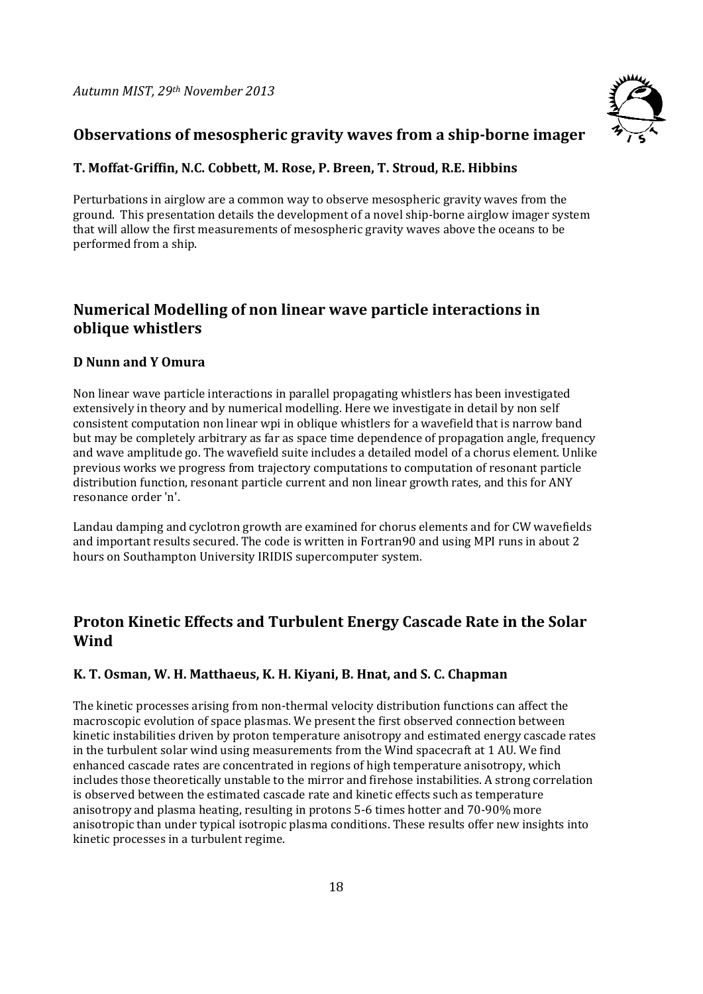

### **Observations of mesospheric gravity waves from a ship‐borne imager**

#### **T. Moffat‐Griffin, N.C. Cobbett, M. Rose, P. Breen, T. Stroud, R.E. Hibbins**

Perturbations in airglow are a common way to observe mesospheric gravity waves from the ground. This presentation details the development of a novel ship-borne airglow imager system that will allow the first measurements of mesospheric gravity waves above the oceans to be performed from a ship.

### **Numerical Modelling of non linear wave particle interactions in oblique whistlers**

#### **D Nunn and Y Omura**

Non linear wave particle interactions in parallel propagating whistlers has been investigated extensively in theory and by numerical modelling. Here we investigate in detail by non self consistent computation non linear wpi in oblique whistlers for a wavefield that is narrow band but may be completely arbitrary as far as space time dependence of propagation angle, frequency and wave amplitude go. The wavefield suite includes a detailed model of a chorus element. Unlike previous works we progress from trajectory computations to computation of resonant particle distribution function, resonant particle current and non linear growth rates, and this for ANY resonance order 'n'.

Landau damping and cyclotron growth are examined for chorus elements and for CW wavefields and important results secured. The code is written in Fortran90 and using MPI runs in about 2 hours on Southampton University IRIDIS supercomputer system.

### **Proton Kinetic Effects and Turbulent Energy Cascade Rate in the Solar Wind**

#### **K. T. Osman, W. H. Matthaeus, K. H. Kiyani, B. Hnat, and S. C. Chapman**

The kinetic processes arising from non-thermal velocity distribution functions can affect the macroscopic evolution of space plasmas. We present the first observed connection between kinetic instabilities driven by proton temperature anisotropy and estimated energy cascade rates in the turbulent solar wind using measurements from the Wind spacecraft at 1 AU. We find enhanced cascade rates are concentrated in regions of high temperature anisotropy, which includes those theoretically unstable to the mirror and firehose instabilities. A strong correlation is observed between the estimated cascade rate and kinetic effects such as temperature anisotropy and plasma heating, resulting in protons 5-6 times hotter and 70-90% more anisotropic than under typical isotropic plasma conditions. These results offer new insights into kinetic processes in a turbulent regime.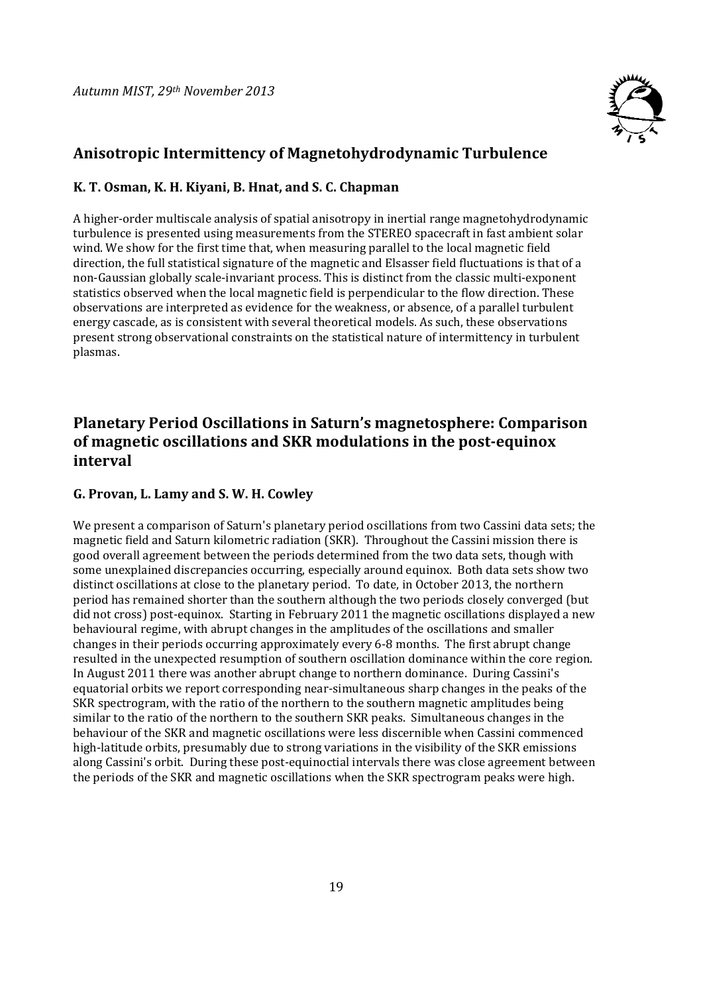

### **Anisotropic Intermittency of Magnetohydrodynamic Turbulence**

#### **K. T. Osman, K. H. Kiyani, B. Hnat, and S. C. Chapman**

A higher-order multiscale analysis of spatial anisotropy in inertial range magnetohydrodynamic turbulence is presented using measurements from the STEREO spacecraft in fast ambient solar wind. We show for the first time that, when measuring parallel to the local magnetic field direction, the full statistical signature of the magnetic and Elsasser field fluctuations is that of a non-Gaussian globally scale-invariant process. This is distinct from the classic multi-exponent statistics observed when the local magnetic field is perpendicular to the flow direction. These observations are interpreted as evidence for the weakness, or absence, of a parallel turbulent energy cascade, as is consistent with several theoretical models. As such, these observations present strong observational constraints on the statistical nature of intermittency in turbulent plasmas. 

# **Planetary Period Oscillations in Saturn's magnetosphere: Comparison of magnetic oscillations and SKR modulations in the post‐equinox interval**

#### **G. Provan, L. Lamy and S. W. H. Cowley**

We present a comparison of Saturn's planetary period oscillations from two Cassini data sets; the magnetic field and Saturn kilometric radiation (SKR). Throughout the Cassini mission there is good overall agreement between the periods determined from the two data sets, though with some unexplained discrepancies occurring, especially around equinox. Both data sets show two distinct oscillations at close to the planetary period. To date, in October 2013, the northern period has remained shorter than the southern although the two periods closely converged (but did not cross) post-equinox. Starting in February 2011 the magnetic oscillations displayed a new behavioural regime, with abrupt changes in the amplitudes of the oscillations and smaller changes in their periods occurring approximately every 6-8 months. The first abrupt change resulted in the unexpected resumption of southern oscillation dominance within the core region. In August 2011 there was another abrupt change to northern dominance. During Cassini's equatorial orbits we report corresponding near-simultaneous sharp changes in the peaks of the SKR spectrogram, with the ratio of the northern to the southern magnetic amplitudes being similar to the ratio of the northern to the southern SKR peaks. Simultaneous changes in the behaviour of the SKR and magnetic oscillations were less discernible when Cassini commenced high-latitude orbits, presumably due to strong variations in the visibility of the SKR emissions along Cassini's orbit. During these post-equinoctial intervals there was close agreement between the periods of the SKR and magnetic oscillations when the SKR spectrogram peaks were high.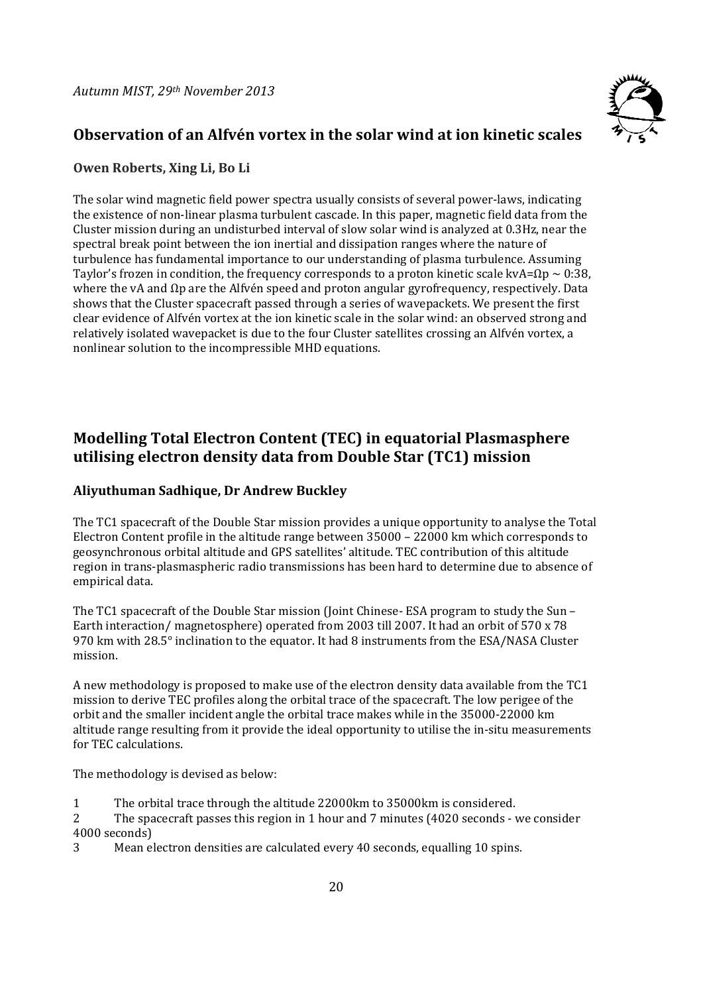

# **Observation of an Alfvén vortex in the solar wind at ion kinetic scales**

#### **Owen Roberts, Xing Li, Bo Li**

The solar wind magnetic field power spectra usually consists of several power-laws, indicating the existence of non-linear plasma turbulent cascade. In this paper, magnetic field data from the Cluster mission during an undisturbed interval of slow solar wind is analyzed at 0.3Hz, near the spectral break point between the ion inertial and dissipation ranges where the nature of turbulence has fundamental importance to our understanding of plasma turbulence. Assuming Taylor's frozen in condition, the frequency corresponds to a proton kinetic scale kvA= $\Omega$ p ~ 0:38, where the vA and  $\Omega$ p are the Alfvén speed and proton angular gyrofrequency, respectively. Data shows that the Cluster spacecraft passed through a series of wavepackets. We present the first clear evidence of Alfvén vortex at the ion kinetic scale in the solar wind: an observed strong and relatively isolated wavepacket is due to the four Cluster satellites crossing an Alfvén vortex, a nonlinear solution to the incompressible MHD equations.

# **Modelling Total Electron Content (TEC) in equatorial Plasmasphere utilising electron density data from Double Star (TC1) mission**

#### **Aliyuthuman Sadhique, Dr Andrew Buckley**

The TC1 spacecraft of the Double Star mission provides a unique opportunity to analyse the Total Electron Content profile in the altitude range between  $35000 - 22000$  km which corresponds to geosynchronous orbital altitude and GPS satellites' altitude. TEC contribution of this altitude region in trans-plasmaspheric radio transmissions has been hard to determine due to absence of empirical data.

The TC1 spacecraft of the Double Star mission (Joint Chinese- ESA program to study the Sun – Earth interaction/ magnetosphere) operated from 2003 till 2007. It had an orbit of 570 x 78 970 km with 28.5° inclination to the equator. It had 8 instruments from the ESA/NASA Cluster mission. 

A new methodology is proposed to make use of the electron density data available from the TC1 mission to derive TEC profiles along the orbital trace of the spacecraft. The low perigee of the orbit and the smaller incident angle the orbital trace makes while in the 35000-22000 km altitude range resulting from it provide the ideal opportunity to utilise the in-situ measurements for TEC calculations.

The methodology is devised as below:

- 1 The orbital trace through the altitude 22000km to 35000km is considered.
- 2 The spacecraft passes this region in 1 hour and 7 minutes (4020 seconds we consider 4000 seconds)
- 3 Mean electron densities are calculated every 40 seconds, equalling 10 spins.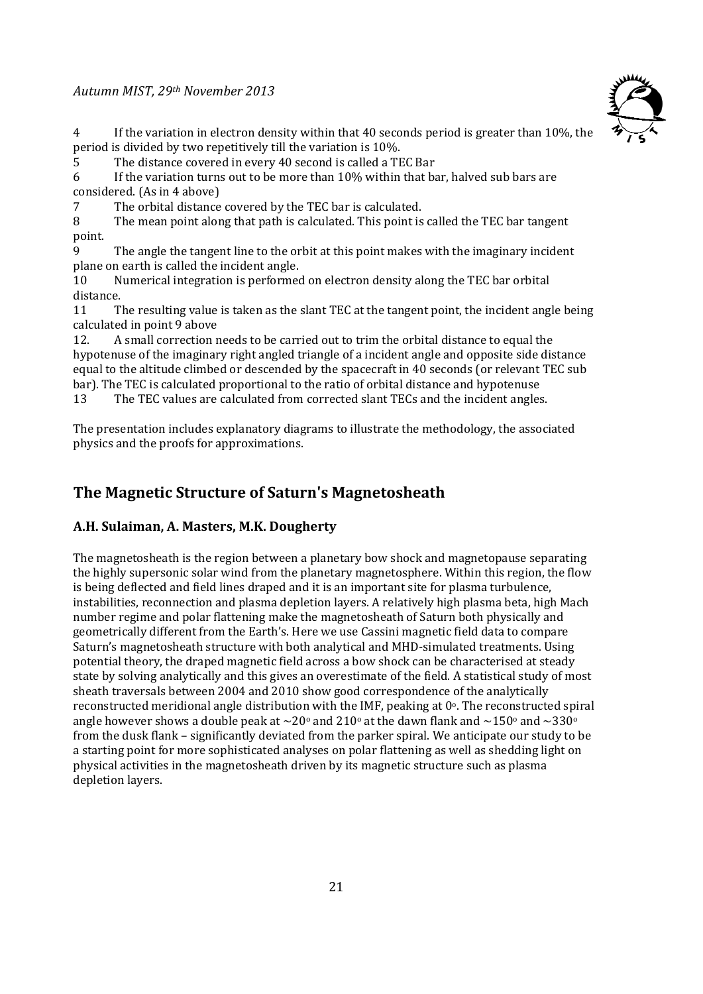#### *Autumn MIST, 29th November 2013*



4 If the variation in electron density within that 40 seconds period is greater than 10%, the period is divided by two repetitively till the variation is 10%.

5 The distance covered in every 40 second is called a TEC Bar

6 If the variation turns out to be more than  $10\%$  within that bar, halved sub bars are considered. (As in 4 above)

7 The orbital distance covered by the TEC bar is calculated.

8 The mean point along that path is calculated. This point is called the TEC bar tangent point. 

9 The angle the tangent line to the orbit at this point makes with the imaginary incident plane on earth is called the incident angle.

10 Numerical integration is performed on electron density along the TEC bar orbital distance. 

11 The resulting value is taken as the slant TEC at the tangent point, the incident angle being calculated in point 9 above

12. A small correction needs to be carried out to trim the orbital distance to equal the hypotenuse of the imaginary right angled triangle of a incident angle and opposite side distance equal to the altitude climbed or descended by the spacecraft in 40 seconds (or relevant TEC sub bar). The TEC is calculated proportional to the ratio of orbital distance and hypotenuse

13 The TEC values are calculated from corrected slant TECs and the incident angles.

The presentation includes explanatory diagrams to illustrate the methodology, the associated physics and the proofs for approximations.

### **The Magnetic Structure of Saturn's Magnetosheath**

#### **A.H. Sulaiman, A. Masters, M.K. Dougherty**

The magnetosheath is the region between a planetary bow shock and magnetopause separating the highly supersonic solar wind from the planetary magnetosphere. Within this region, the flow is being deflected and field lines draped and it is an important site for plasma turbulence, instabilities, reconnection and plasma depletion layers. A relatively high plasma beta, high Mach number regime and polar flattening make the magnetosheath of Saturn both physically and geometrically different from the Earth's. Here we use Cassini magnetic field data to compare Saturn's magnetosheath structure with both analytical and MHD-simulated treatments. Using potential theory, the draped magnetic field across a bow shock can be characterised at steady state by solving analytically and this gives an overestimate of the field. A statistical study of most sheath traversals between 2004 and 2010 show good correspondence of the analytically reconstructed meridional angle distribution with the IMF, peaking at  $0^\circ$ . The reconstructed spiral angle however shows a double peak at  $\sim$ 20° and 210° at the dawn flank and  $\sim$ 150° and  $\sim$ 330° from the dusk flank – significantly deviated from the parker spiral. We anticipate our study to be a starting point for more sophisticated analyses on polar flattening as well as shedding light on physical activities in the magnetosheath driven by its magnetic structure such as plasma depletion layers.